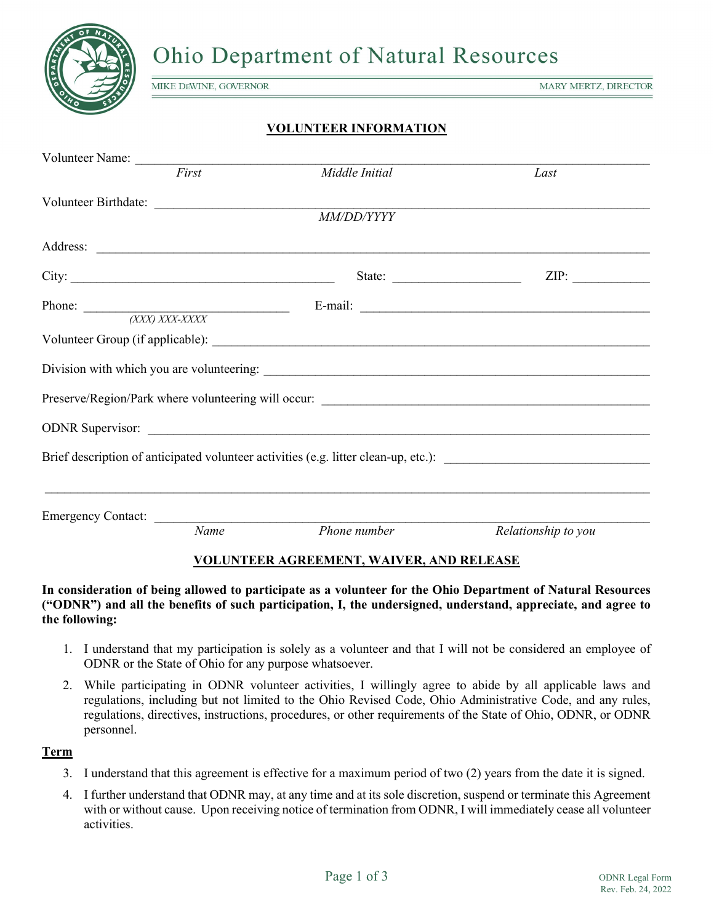

**Ohio Department of Natural Resources** 

MIKE DEWINE, GOVERNOR

**MARY MERTZ, DIRECTOR** 

# **VOLUNTEER INFORMATION**

| Volunteer Name:                               |                                                                                                                                                                                                                                                                                                                                                                                                                                |                                          |                     |
|-----------------------------------------------|--------------------------------------------------------------------------------------------------------------------------------------------------------------------------------------------------------------------------------------------------------------------------------------------------------------------------------------------------------------------------------------------------------------------------------|------------------------------------------|---------------------|
|                                               | First                                                                                                                                                                                                                                                                                                                                                                                                                          | Middle Initial                           | Last                |
|                                               |                                                                                                                                                                                                                                                                                                                                                                                                                                |                                          |                     |
|                                               |                                                                                                                                                                                                                                                                                                                                                                                                                                | <b>MM/DD/YYYY</b>                        |                     |
|                                               |                                                                                                                                                                                                                                                                                                                                                                                                                                |                                          |                     |
|                                               |                                                                                                                                                                                                                                                                                                                                                                                                                                |                                          |                     |
|                                               |                                                                                                                                                                                                                                                                                                                                                                                                                                |                                          | ZIP:                |
| Phone: $\frac{XXXX) XXX-XXXX}{XXX) XXX-XXXX}$ |                                                                                                                                                                                                                                                                                                                                                                                                                                |                                          |                     |
|                                               |                                                                                                                                                                                                                                                                                                                                                                                                                                |                                          |                     |
|                                               |                                                                                                                                                                                                                                                                                                                                                                                                                                |                                          |                     |
|                                               |                                                                                                                                                                                                                                                                                                                                                                                                                                |                                          |                     |
|                                               |                                                                                                                                                                                                                                                                                                                                                                                                                                |                                          |                     |
|                                               |                                                                                                                                                                                                                                                                                                                                                                                                                                |                                          |                     |
|                                               |                                                                                                                                                                                                                                                                                                                                                                                                                                |                                          |                     |
|                                               |                                                                                                                                                                                                                                                                                                                                                                                                                                |                                          |                     |
|                                               |                                                                                                                                                                                                                                                                                                                                                                                                                                |                                          |                     |
|                                               |                                                                                                                                                                                                                                                                                                                                                                                                                                |                                          |                     |
|                                               |                                                                                                                                                                                                                                                                                                                                                                                                                                |                                          |                     |
|                                               |                                                                                                                                                                                                                                                                                                                                                                                                                                |                                          |                     |
| Emergency Contact:                            | $\begin{tabular}{ccccc} \multicolumn{2}{c }{\textbf{1} & \textbf{2} & \textbf{3} & \textbf{4} & \textbf{5} & \textbf{5} & \textbf{6} & \textbf{6} & \textbf{7} & \textbf{8} & \textbf{8} & \textbf{9} & \textbf{10} & \textbf{10} & \textbf{10} & \textbf{10} & \textbf{10} & \textbf{10} & \textbf{10} & \textbf{10} & \textbf{10} & \textbf{10} & \textbf{10} & \textbf{10} & \textbf{10} & \textbf{10} & \textbf{1$<br>Name | Phone number                             | Relationship to you |
|                                               |                                                                                                                                                                                                                                                                                                                                                                                                                                |                                          |                     |
|                                               |                                                                                                                                                                                                                                                                                                                                                                                                                                | VOLUNTEER AGREEMENT. WAIVER, AND RELEASE |                     |

## **VOLUNTEER AGREEMENT, WAIVER, AND RELEASE**

## **In consideration of being allowed to participate as a volunteer for the Ohio Department of Natural Resources ("ODNR") and all the benefits of such participation, I, the undersigned, understand, appreciate, and agree to the following:**

- 1. I understand that my participation is solely as a volunteer and that I will not be considered an employee of ODNR or the State of Ohio for any purpose whatsoever.
- 2. While participating in ODNR volunteer activities, I willingly agree to abide by all applicable laws and regulations, including but not limited to the Ohio Revised Code, Ohio Administrative Code, and any rules, regulations, directives, instructions, procedures, or other requirements of the State of Ohio, ODNR, or ODNR personnel.

## **Term**

- 3. I understand that this agreement is effective for a maximum period of two (2) years from the date it is signed.
- 4. I further understand that ODNR may, at any time and at its sole discretion, suspend or terminate this Agreement with or without cause. Upon receiving notice of termination from ODNR, I will immediately cease all volunteer activities.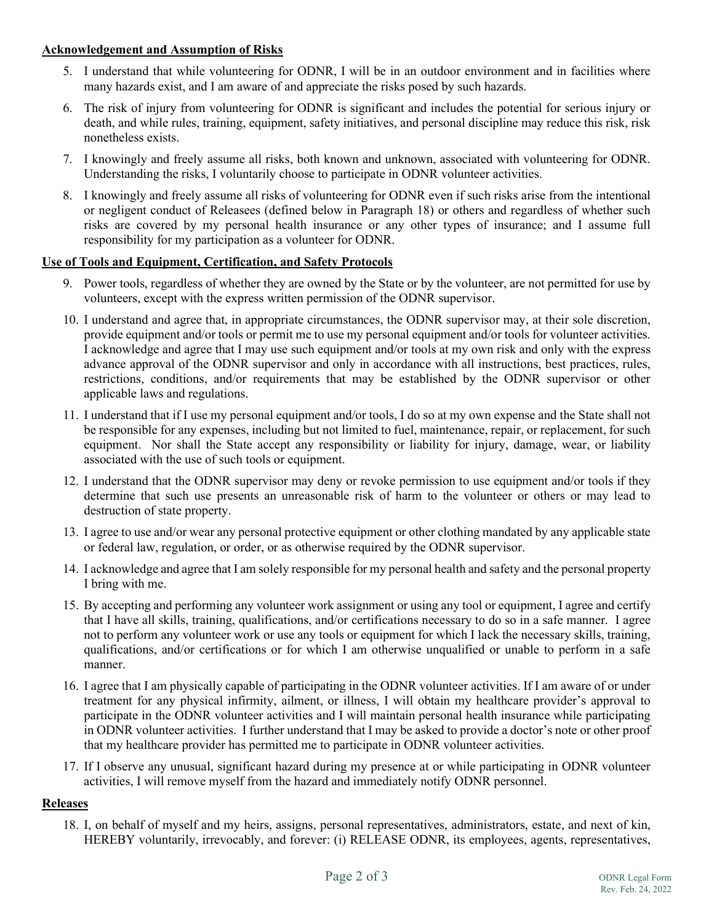# **Acknowledgement and Assumption of Risks**

- 5. I understand that while volunteering for ODNR, I will be in an outdoor environment and in facilities where many hazards exist, and I am aware of and appreciate the risks posed by such hazards.
- 6. The risk of injury from volunteering for ODNR is significant and includes the potential for serious injury or death, and while rules, training, equipment, safety initiatives, and personal discipline may reduce this risk, risk nonetheless exists.
- 7. I knowingly and freely assume all risks, both known and unknown, associated with volunteering for ODNR. Understanding the risks, I voluntarily choose to participate in ODNR volunteer activities.
- 8. I knowingly and freely assume all risks of volunteering for ODNR even if such risks arise from the intentional or negligent conduct of Releasees (defined below in Paragraph 18) or others and regardless of whether such risks are covered by my personal health insurance or any other types of insurance; and I assume full responsibility for my participation as a volunteer for ODNR.

# **Use of Tools and Equipment, Certification, and Safety Protocols**

- 9. Power tools, regardless of whether they are owned by the State or by the volunteer, are not permitted for use by volunteers, except with the express written permission of the ODNR supervisor.
- 10. I understand and agree that, in appropriate circumstances, the ODNR supervisor may, at their sole discretion, provide equipment and/or tools or permit me to use my personal equipment and/or tools for volunteer activities. I acknowledge and agree that I may use such equipment and/or tools at my own risk and only with the express advance approval of the ODNR supervisor and only in accordance with all instructions, best practices, rules, restrictions, conditions, and/or requirements that may be established by the ODNR supervisor or other applicable laws and regulations.
- 11. I understand that if I use my personal equipment and/or tools, I do so at my own expense and the State shall not be responsible for any expenses, including but not limited to fuel, maintenance, repair, or replacement, for such equipment. Nor shall the State accept any responsibility or liability for injury, damage, wear, or liability associated with the use of such tools or equipment.
- 12. I understand that the ODNR supervisor may deny or revoke permission to use equipment and/or tools if they determine that such use presents an unreasonable risk of harm to the volunteer or others or may lead to destruction of state property.
- 13. I agree to use and/or wear any personal protective equipment or other clothing mandated by any applicable state or federal law, regulation, or order, or as otherwise required by the ODNR supervisor.
- 14. I acknowledge and agree that I am solely responsible for my personal health and safety and the personal property I bring with me.
- 15. By accepting and performing any volunteer work assignment or using any tool or equipment, I agree and certify that I have all skills, training, qualifications, and/or certifications necessary to do so in a safe manner. I agree not to perform any volunteer work or use any tools or equipment for which I lack the necessary skills, training, qualifications, and/or certifications or for which I am otherwise unqualified or unable to perform in a safe manner.
- 16. I agree that I am physically capable of participating in the ODNR volunteer activities. If I am aware of or under treatment for any physical infirmity, ailment, or illness, I will obtain my healthcare provider's approval to participate in the ODNR volunteer activities and I will maintain personal health insurance while participating in ODNR volunteer activities. I further understand that I may be asked to provide a doctor's note or other proof that my healthcare provider has permitted me to participate in ODNR volunteer activities.
- 17. If I observe any unusual, significant hazard during my presence at or while participating in ODNR volunteer activities, I will remove myself from the hazard and immediately notify ODNR personnel.

## **Releases**

18. I, on behalf of myself and my heirs, assigns, personal representatives, administrators, estate, and next of kin, HEREBY voluntarily, irrevocably, and forever: (i) RELEASE ODNR, its employees, agents, representatives,